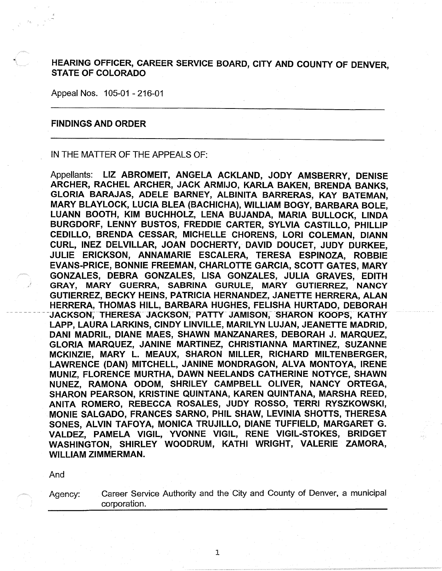HEARING OFFICER, CAREER SERVICE BOARD, CITY AND COUNTY OF DENVER STATE OF COLORADO

Appeal Nos. 105-01 - 216-01

## FINDINGS AND ORDER

IN THE MATTER OF THE APPEALS OF:

Appellants: LIZ ABROMEIT, ANGELA ACKLAND, JODY AMSBERRY, DENISE ARCHER, RACHEL ARCHER, JACK ARMIJO, KARLA BAKEN, BRENDA BANKS, GLORIA BARAJAS, ADELE BARNEY, ALBINITA BARRERAS, KAY BATEMAN, MARY BLAYLOCK, LUCIA BLEA (BACHICHA), WILLIAM BOGY, BARBARA BOLE, LUANN BOOTH, KIM BUCHHOLZ, LENA BUJANDA, MARIA BULLOCK, LINDA BURGDORF, LENNY BUSTOS, FREDDIE CARTER, SYLVIA CASTILLO, PHILLIP CEDILLO, BRENDA CESSAR, MICHELLE CHORENS, LORI COLEMAN, DIANN CURL, INEZ DELVILLAR, JOAN DOCHERTY, DAVID DOUCET, JUDY DURKEE, JULIE ERICKSON, ANNAMARIE ESCALERA, TERESA ESPINOZA, ROBBIE EVANS-PRICE, BONNIE FREEMAN, CHARLOTTE GARCIA, SCOTT GATES, MARY GONZALES, DEBRA GONZALES, LISA GONZALES, JULIA GRAVES, EDITH GRAY, MARY GUERRA, SABRINA GURULE, MARY GUTIERREZ, NANCY GUTIERREZ, BECKY HEINS, PATRICIA HERNANDEZ, JANETTE HERRERA, ALAN HERRERA, THOMAS HILL, BARBARA HUGHES, FELISHA HURTADO, DEBORAH JACKSON, THERESA JACKSON, PATTY JAMISON, SHARON KOOPS, KATHY LAPP, LAURA LARKINS, CINDY LINVILLE, MARILYN LUJAN, JEANETTE MADRID, DANI MADRIL, DIANE MAES, SHAWN MANZANARES, DEBORAH J. MARQUEZ, GLORIA MARQUEZ, JANINE MARTINEZ, CHRISTIANNA MARTINEZ, SUZANNE MCKINZIE, MARY L. MEAUX, SHARON MILLER, RICHARD MILTENBERGER, LAWRENCE (DAN) MITCHELL, JANINE MONDRAGON, ALVA MONTOYA, IRENE MUNIZ, FLORENCE MURTHA, DAWN NEELANDS CATHERINE NOTYCE, SHAWN NUNEZ, RAMONA ODOM, SHRILEY CAMPBELL OLIVER, NANCY ORTEGA, SHARON PEARSON, KRISTINE QUINTANA, KAREN QUINTANA, MARSHA REED, ANITA ROMERO, REBECCA ROSALES, JUDY ROSSO, TERRI RYSZKOWSKI, MONIE SALGADO, FRANCES SARNO, PHIL SHAW, LEVINIA SHOTTS, THERESA SONES, ALVIN TAFOYA, MONICA TRUJILLO, DIANE TUFFIELD, MARGARET G. VALDEZ, PAMELA VIGIL, YVONNE VIGIL, RENE VIGIL-STOKES, BRIDGET WASHINGTON, SHIRLEY WOODRUM, KATHI WRIGHT, VALERIE ZAMORA, WILLIAM ZIMMERMAN.

And

Agency: Career Service Authority and the City and County of Denver, a municipal corporation.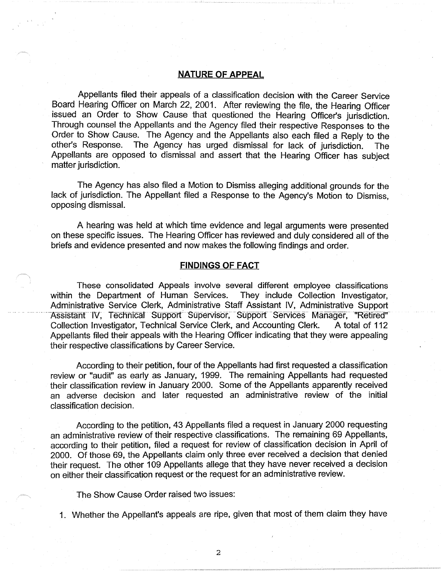## **NATURE OF APPEAL**

Appellants filed their appeals of a classification decision with the Career Service Board Hearing Officer on March 22, 2001. After reviewing the file, the Hearing Officer issued an Order *to* Show Cause that questioned the Hearing Officer's jurisdiction. Through counsel the Appellants and the Agency filed their respective Responses *to* the Order *to* Show Cause. The Agency and the Appellants also each filed a Reply *to* the other's Response. The Agency has urged dismissal for lack of jurisdiction. The Appellants are opposed *to* dismissal and assert that the Hearing Officer has subject matter jurisdiction.

The Agency has also filed a Motion *to* Dismiss alleging additional grounds for the lack of jurisdiction. The Appellant filed a Response *to* the Agency's Motion *to* Dismiss, opposing dismissal.

A hearing was held at which time evidence and legal arguments were presented on these specific issues. The Hearing Officer has reviewed and duly considered all of the briefs and evidence presented and now makes the following findings and order.

### **FINDINGS OF FACT**

These consolidated Appeals involve several different employee classifications within the Department of Human Services. They include Collection Investigator, Administrative Service Clerk, Administrative Staff Assistant IV, Administrative Support Assistant IV, Technical Support Supervisor, Support Services Manager, "Retired" Collection Investigator, Technical Service Clerk, and Accounting Clerk. A total of 112 Appellants filed their appeals with the Hearing Officer indicating that they were appealing their respective classifications by Career Service.

According to their petition, four of the Appellants had first requested a classification review or "audit" as early as January, 1999. The remaining Appellants had requested their classification review in January 2000. Some of the Appellants apparently received an adverse decision and later requested an administrative review of the initial classification decision.

According to the petition, 43 Appellants filed a request in January 2000 requesting an administrative review of their respective classifications. The remaining 69 Appellants, according to their petition, filed a request for review of classification decision in April of 2000. Of those 69, the Appellants claim only three ever received a decision that denied their request. The other 109 Appellants allege that they have never received a decision on either their classification request or the request for an administrative review.

The Show Cause Order raised two issues:

1. Whether the Appellant's appeals are ripe, given that most of them claim they have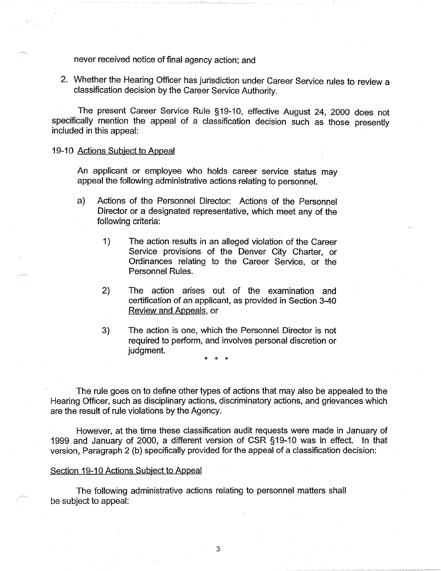never received notice of final agency action; and

2. Whether the Hearing Officer has jurisdiction under Career Service rules to review a classification decision by the Career Service Authority.

The present Career Service Rule §19-10, effective August 24, 2000 does not specifically mention the appeal of a classification decision such as those presently included in this appeal:

19-10 Actions Subject to Appeal

An applicant or employee who holds career service status may appeal the following administrative actions relating to personnel.

- a) Actions of the Personnel Director: Actions of the Personnel Director or a designated representative, which meet any of the following criteria:
	- 1) The action results in an alleged violation of the Career Service provisions of the Denver City Charter, or Ordinances relating to the Career Service, or the Personnel Rules.
	- 2) The action arises out of the examination and certification of an applicant, as provided in Section 3-40 Review and Appeals, or
	- 3) The action is one, which the Personnel Director is not required to perform, and involves personal discretion or judgment.

\* \* \*

The rule goes on to define other types of actions that may also be appealed to the Hearing Officer, such as disciplinary actions, discriminatory actions, and grievances which are the result of rule violations by the Agency.

However, at the time these classification audit requests were made in January of 1999 and January of 2000, a different version of CSR §19-10 was in effect. In that version, Paragraph 2 (b) specifically provided for the appeal of a classification decision:

#### Section 19-10 Actions Subject to Appeal

The following administrative actions relating to personnel matters shall be subject to appeal: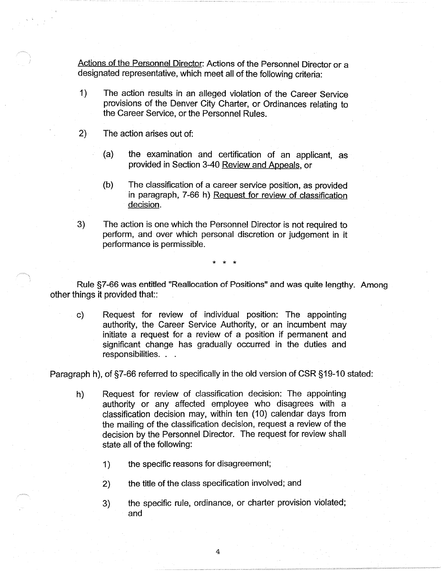Actions of the Personnel Director: Actions of the Personnel Director or a designated representative, which meet all of the following criteria:

- 1) The action results in an alleged violation of the Career Service provisions of the Denver City Charter, or Ordinances relating to the Career Service, or the Personnel Rules.
- 2) The action arises out of:
	- (a) the examination and certification of an applicant, as provided in Section 3-40 Review and Appeals, or
	- (b) The classification of a career service position, as provided in paragraph, 7-66 h) Request for review of classification decision.
- 3) The action is one which the Personnel Director is not required to perform, and over which personal discretion or judgement in it performance is permissible.

\* \* \*

Rule §7-66 was entitled "Reallocation of Positions" and was quite lengthy. Among other things it provided that::

c) Request for review of individual position: The appointing authority, the Career Service Authority, or an incumbent may initiate a request for a review of a position if permanent and significant change has gradually occurred in the duties and responsibilities. . .

Paragraph h), of §7-66 referred to specifically in the old version of CSR §19-10 stated:

- h) Request for review of classification decision: The appointing authority or any affected employee who disagrees with a classification decision may, within ten (10) calendar days from the mailing of the classification decision, request a review of the decision by the Personnel Director. The request for review shall state all of the following:
	- 1) the specific reasons for disagreement;
	- 2) the title of the class specification involved; and
	- 3) the specific rule, ordinance, or charter provision violated; and

4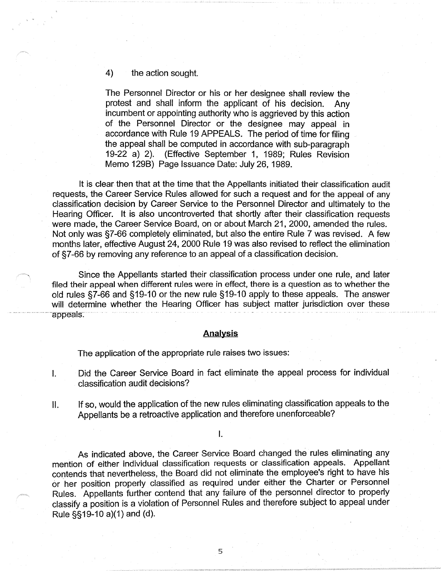# 4) the action sought.

The Personnel Director or his or her designee shall review the protest and shall inform the applicant of his decision. Any incumbent or appointing authority who is aggrieved by this action of the Personnel Director or the designee may appeal in accordance with Rule 19 APPEALS. The period of time for filing the appeal shall be computed in accordance with sub-paragraph 19-22 a) 2). (Effective September 1, 1989; Rules Revision Memo 129B) Page Issuance Date: July 26, 1989.

It is clear then that at the time that the Appellants initiated their classification audit requests, the Career Service Rules allowed for such a request and for the appeal of any classification decision by Career Service to the Personnel Director and ultimately to the Hearing Officer. It is also uncontroverted that shortly after their classification requests were made, the Career Service Board, on or about March 21, 2000, amended the rules. Not only was §7-66 completely eliminated, but also the entire Rule 7 was revised. A few months later, effective August 24, 2000 Rule 19 was also revised to reflect the elimination of §7-66 by removing any reference to an appeal of a classification decision.

Since the Appellants started their classification process under one rule, and later filed their appeal when different rules were in effect, there is a question as to whether the old rules §7-66 and §19-10 or the new rule §19-10 apply to these appeals. The answer will determine whether the Hearing Officer has subject matter jurisdiction over these appeals.

# **Analysis**

The application of the appropriate rule raises two issues:

- I. Did the Career Service Board in fact eliminate the appeal process for individual classification audit decisions?
- II. If so, would the application of the new rules eliminating classification appeals to the Appellants be a retroactive application and therefore unenforceable?

I.

As indicated above, the Career Service Board changed the rules eliminating any mention of either individual classification requests or classification appeals. Appellant contends that nevertheless, the Board did not eliminate the employee's right to have his or her position properly classified as required under either the Charter or Personnel Rules. Appellants further contend that any failure of the personnel director to properly classify a position is a violation of Personnel Rules and therefore subject to appeal under Rule §§19-10 a)(1) and (d).

5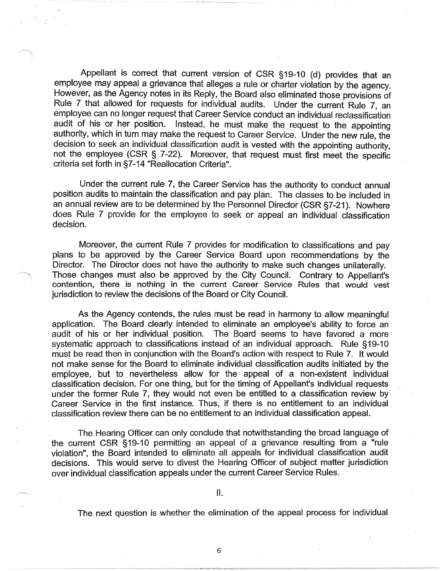Appellant is correct that current version of CSR §19-10 (d) provides that an employee may appeal a grievance that alleges a rule or charter violation by the agency. However, as the Agency notes in its Reply, the Board also eliminated those provisions of Rule 7 that allowed for requests for individual audits. Under the current Rule 7, an employee can no longer request that Career Service conduct an individual reclassification audit of his or her position. Instead, he must make the request to the appointing authority, which in turn may make the request to Career Service. Under the new rule, the decision to seek an individual classification audit is vested with the appointing authority, not the employee (CSR § 7-22). Moreover, that request must first meet the specific criteria set forth in §7-14 "Reallocation Criteria".

Under the current rule 7, the Career Service has the authority to conduct annual position audits to maintain the classification and pay plan. The classes to be included in an annual review are to be determined by the Personnel Director (CSR §7-21). Nowhere does Rule 7 provide for the employee to seek or appeal an individual classification decision.

Moreover, the current Rule 7 provides for modification to classifications and pay plans to be approved by the Career Service Board upon recommendations by the Director. The Director does not have the authority to make such changes unilaterally. Those changes must also be approved by. the City Council. Contrary to Appellant's contention, there is nothing in the current Career Service Rules that would vest jurisdiction to review the decisions of the Board or City Council.

As the Agency contends, the rules must be read in harmony to allow meaningful application. The Board clearly intended to eliminate an employee's ability to force an audit of his or her individual position. The Board seems to have favored a more systematic approach to classifications instead of an individual approach. Rule §19-10 must be read then in conjunction with the Board's action with respect to Rule 7. It would not make sense for the Board to eliminate individual classification audits initiated by the employee, but to nevertheless allow for the appeal of a non-existent individual classification decision. For one thing, but for the timing of Appellant's individual requests under the former Rule 7, they would not even be entitled to a classification review by Career Service in the first instance. Thus, if there is no entitlement to an individual classification review there can be no entitlement to an individual classification appeal.

The Hearing Officer can only conclude that notwithstanding the broad language of the current CSR § 19-10 permitting an appeal of a grievance resulting from a "rule violation", the Board intended to eliminate all appeals for individual classification audit decisions. This would serve to divest the Hearing Officer of subject matter jurisdiction over individual classification appeals under the current Career Service Rules.

6

The next question is whether the elimination of the appeal process for individual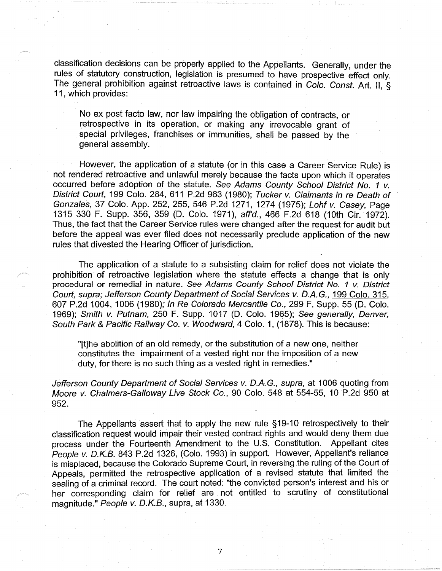classification decisions can be properly applied to the Appellants. Generally, under the rules of statutory construction, legislation is presumed to have prospective effect only. The general prohibition against retroactive laws is contained in Colo. Const. Art. II, § 11, which provides:

No ex post facto law, nor law impairing the obligation of contracts, or retrospective in its operation, or making any irrevocable grant of special privileges, franchises or immunities, shall be passed by the general assembly.

However, the application of a statute (or in this case a Career Service Rule) is not rendered retroactive and unlawful merely because the facts upon which it operates occurred before adoption of the statute. See Adams County School District No. 1 v. District Court, 199 Colo. 284,611 P.2d 963 (1980); Tucker v. Claimants in re Death of Gonzales, 37 Colo. App. 252,255,546 P.2d 1271, 1274 (1975); Lohfv. Casey, Page 1315 330 F. Supp. 356, 359 (D. Colo. 1971), affd., 466 F.2d 618 (10th Cir. 1972). Thus, the fact that the Career Service rules were changed after the request for audit but before the appeal was ever filed does not necessarily preclude application of the new rules that divested the Hearing Officer of jurisdiction.

The application of a statute to a subsisting claim for relief does not violate the prohibition· of retroactive legislation where the statute effects a change that is only procedural or remedial in nature. See Adams County School District No. 1 v. District Court, supra; Jefferson County Department of Social Services v. D.A. G., 199 Colo. 315, 607 P.2d 1004, 1006 (1980); In Re Colorado Mercantile Co., 299 F. Supp. 55 (D. Colo. 1969); Smith v. Putnam, 250 F. Supp. 1017 (D. Colo. 1965); See generally, Denver, South Park & Pacific Railway Co. v. Woodward, 4 Colo. 1, (1878). This is because:

"[t]he abolition of an old remedy, or the substitution of a new one, neither constitutes the impairment of a vested right nor the imposition of a new duty, for there is no such thing as a vested right in remedies."

Jefferson County Department of Social Services v. D.A.G., supra, at 1006 quoting from Moore v. Chalmers-Galloway Live Stock Co., 90 Colo. 548 at 554-55, 10 P.2d 950 at 952.

The Appellants assert that to apply the new rule §19-10 retrospectively to their classification request would impair their vested contract rights and would deny them due process under the Fourteenth Amendment to the U.S. Constitution. Appellant cites People v. D.K.B. 843 P.2d 1326, (Colo. 1993) in support. However, Appellant's reliance is misplaced, because the Colorado Supreme Court, in reversing the ruling of the Court of Appeals, permitted the retrospective application of a revised statute that limited the sealing of a criminal record. The court noted: "the convicted person's interest and his or her corresponding claim for relief are not entitled to scrutiny of constitutional magnitude." People v. D.K.B., supra, at 1330.

7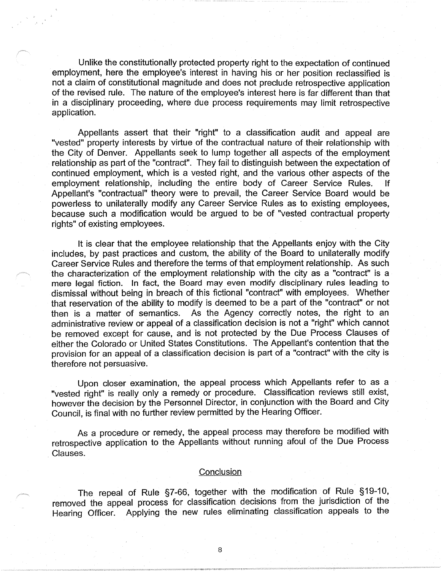Unlike the constitutionally protected property right to the expectation of continued employment, here the employee's interest in having his or her position reclassified is not a claim of constitutional magnitude and does not preclude retrospective application of the revised rule. The nature of the employee's interest here is far different than that in a disciplinary proceeding, where due process requirements may limit retrospective application.

Appellants assert that their "right" to a classification audit and appeal are "vested" property interests by virtue of the contractual nature of their relationship with the City of Denver. Appellants seek to lump together all aspects of the employment relationship as part of the "contract". They fail to distinguish between the expectation of continued employment, which is a vested right, and the various other aspects of the employment relationship, including the entire body of Career Service Rules. If Appellant's "contractual" theory were to prevail, the Career Service Board would be powerless to unilaterally modify any Career Service Rules as to existing employees, because such a modification would be argued to be of "vested contractual property rights" of existing employees.

It is clear that the employee relationship that the Appellants enjoy with the City includes, by past practices and custom, the ability of the Board to unilaterally modify Career Service Rules and therefore the terms of that employment relationship. As such the characterization of the employment relationship with the city as a "contract" is a mere legal fiction. In fact, the Board may even modify disciplinary rules leading to dismissal without being in breach of this fictional "contract" with employees. Whether that reservation of the ability to modify is deemed to be a part of the "contract" or not then is a matter of semantics. As the Agency correctly notes, the right to an administrative review or appeal of a classification decision is not a "right" which cannot be removed except for cause, and is not protected by the Due Process Clauses of either the Colorado or United States Constitutions. The Appellant's contention that the provision for an appeal of a classification decision is part of a "contract" with the city is therefore not persuasive.

Upon closer examination, the appeal process which Appellants refer to as a "vested right" is really only a remedy or procedure. Classification reviews still exist, however the decision by the Personnel Director, in conjunction with the Board and City Council, is final with no further review permitted by the Hearing Officer.

As a procedure or remedy, the appeal process may therefore be modified with retrospective application to the Appellants without running afoul of the Due Process Clauses.

## **Conclusion**

The repeal of Rule §7-66, together with the modification of Rule §19-10, removed the appeal process for classification decisions from the jurisdiction of the Hearing Officer. Applying the new rules eliminating classification appeals to the